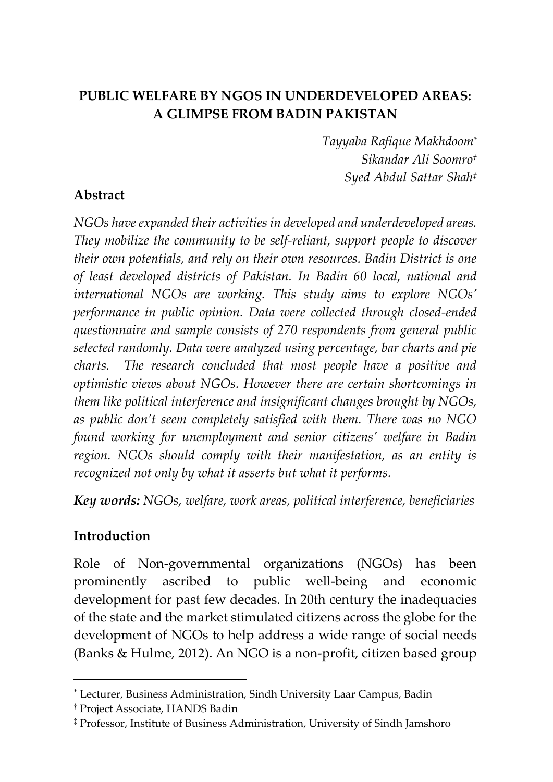# **PUBLIC WELFARE BY NGOS IN UNDERDEVELOPED AREAS: A GLIMPSE FROM BADIN PAKISTAN**

*Tayyaba Rafique Makhdoom\* Sikandar Ali Soomro† Syed Abdul Sattar Shah‡*

#### **Abstract**

*NGOs have expanded their activities in developed and underdeveloped areas. They mobilize the community to be self-reliant, support people to discover their own potentials, and rely on their own resources. Badin District is one of least developed districts of Pakistan. In Badin 60 local, national and international NGOs are working. This study aims to explore NGOs' performance in public opinion. Data were collected through closed-ended questionnaire and sample consists of 270 respondents from general public selected randomly. Data were analyzed using percentage, bar charts and pie charts. The research concluded that most people have a positive and optimistic views about NGOs. However there are certain shortcomings in them like political interference and insignificant changes brought by NGOs, as public don't seem completely satisfied with them. There was no NGO found working for unemployment and senior citizens' welfare in Badin region. NGOs should comply with their manifestation, as an entity is recognized not only by what it asserts but what it performs.* 

*Key words: NGOs, welfare, work areas, political interference, beneficiaries*

#### **Introduction**

 $\overline{a}$ 

Role of Non-governmental organizations (NGOs) has been prominently ascribed to public well-being and economic development for past few decades. In 20th century the inadequacies of the state and the market stimulated citizens across the globe for the development of NGOs to help address a wide range of social needs (Banks & Hulme, 2012). An NGO is a non-profit, citizen based group

<sup>\*</sup> Lecturer, Business Administration, Sindh University Laar Campus, Badin

<sup>†</sup> Project Associate, HANDS Badin

<sup>‡</sup> Professor, Institute of Business Administration, University of Sindh Jamshoro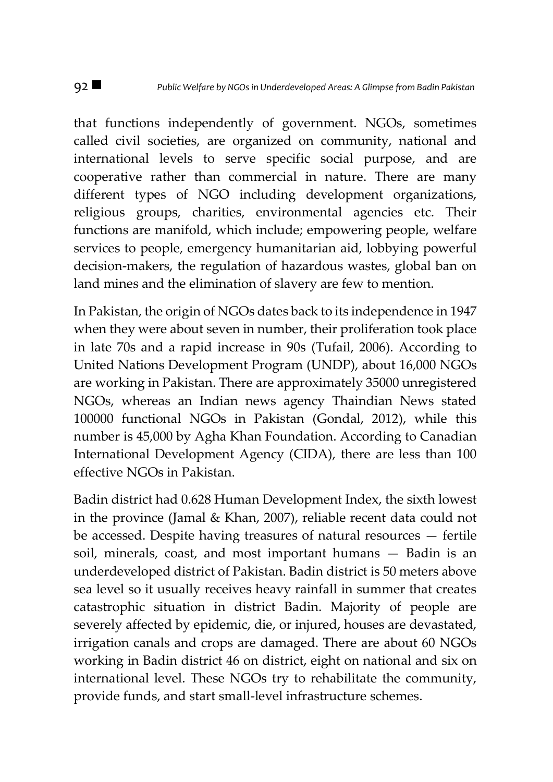that functions independently of government. NGOs, sometimes called civil societies, are organized on community, national and international levels to serve specific social purpose, and are cooperative rather than commercial in nature. There are many different types of NGO including development organizations, religious groups, charities, environmental agencies etc. Their functions are manifold, which include; empowering people, welfare services to people, emergency humanitarian aid, lobbying powerful decision-makers, the regulation of hazardous wastes, global ban on land mines and the elimination of slavery are few to mention.

In Pakistan, the origin of NGOs dates back to its independence in 1947 when they were about seven in number, their proliferation took place in late 70s and a rapid increase in 90s (Tufail, 2006). According to United Nations Development Program (UNDP), about 16,000 NGOs are working in Pakistan. There are approximately 35000 unregistered NGOs, whereas an Indian news agency Thaindian News stated 100000 functional NGOs in Pakistan (Gondal, 2012), while this number is 45,000 by Agha Khan Foundation. According to Canadian International Development Agency (CIDA), there are less than 100 effective NGOs in Pakistan.

Badin district had 0.628 Human Development Index, the sixth lowest in the province (Jamal & Khan, 2007), reliable recent data could not be accessed. Despite having treasures of natural resources — fertile soil, minerals, coast, and most important humans — Badin is an underdeveloped district of Pakistan. Badin district is 50 meters above sea level so it usually receives heavy rainfall in summer that creates catastrophic situation in district Badin. Majority of people are severely affected by epidemic, die, or injured, houses are devastated, irrigation canals and crops are damaged. There are about 60 NGOs working in Badin district 46 on district, eight on national and six on international level. These NGOs try to rehabilitate the community, provide funds, and start small-level infrastructure schemes.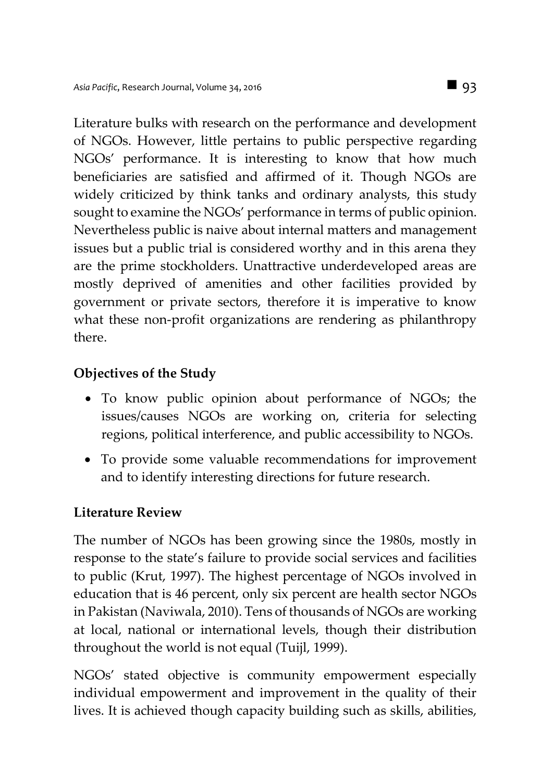Literature bulks with research on the performance and development of NGOs. However, little pertains to public perspective regarding NGOs' performance. It is interesting to know that how much beneficiaries are satisfied and affirmed of it. Though NGOs are widely criticized by think tanks and ordinary analysts, this study sought to examine the NGOs' performance in terms of public opinion. Nevertheless public is naive about internal matters and management issues but a public trial is considered worthy and in this arena they are the prime stockholders. Unattractive underdeveloped areas are mostly deprived of amenities and other facilities provided by government or private sectors, therefore it is imperative to know what these non-profit organizations are rendering as philanthropy there.

### **Objectives of the Study**

- To know public opinion about performance of NGOs; the issues/causes NGOs are working on, criteria for selecting regions, political interference, and public accessibility to NGOs.
- To provide some valuable recommendations for improvement and to identify interesting directions for future research.

### **Literature Review**

The number of NGOs has been growing since the 1980s, mostly in response to the state's failure to provide social services and facilities to public (Krut, 1997). The highest percentage of NGOs involved in education that is 46 percent, only six percent are health sector NGOs in Pakistan (Naviwala, 2010). Tens of thousands of NGOs are working at local, national or international levels, though their distribution throughout the world is not equal (Tuijl, 1999).

NGOs' stated objective is community empowerment especially individual empowerment and improvement in the quality of their lives. It is achieved though capacity building such as skills, abilities,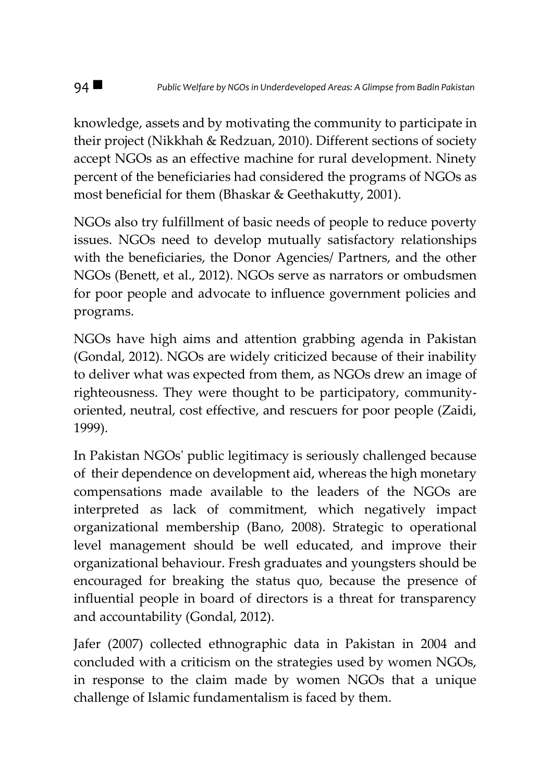knowledge, assets and by motivating the community to participate in their project (Nikkhah & Redzuan, 2010). Different sections of society accept NGOs as an effective machine for rural development. Ninety percent of the beneficiaries had considered the programs of NGOs as most beneficial for them (Bhaskar & Geethakutty, 2001).

NGOs also try fulfillment of basic needs of people to reduce poverty issues. NGOs need to develop mutually satisfactory relationships with the beneficiaries, the Donor Agencies/ Partners, and the other NGOs (Benett, et al., 2012). NGOs serve as narrators or ombudsmen for poor people and advocate to influence government policies and programs.

NGOs have high aims and attention grabbing agenda in Pakistan (Gondal, 2012). NGOs are widely criticized because of their inability to deliver what was expected from them, as NGOs drew an image of righteousness. They were thought to be participatory, communityoriented, neutral, cost effective, and rescuers for poor people (Zaidi, 1999).

In Pakistan NGOs' public legitimacy is seriously challenged because of their dependence on development aid, whereas the high monetary compensations made available to the leaders of the NGOs are interpreted as lack of commitment, which negatively impact organizational membership (Bano, 2008). Strategic to operational level management should be well educated, and improve their organizational behaviour. Fresh graduates and youngsters should be encouraged for breaking the status quo, because the presence of influential people in board of directors is a threat for transparency and accountability (Gondal, 2012).

Jafer (2007) collected ethnographic data in Pakistan in 2004 and concluded with a criticism on the strategies used by women NGOs, in response to the claim made by women NGOs that a unique challenge of Islamic fundamentalism is faced by them.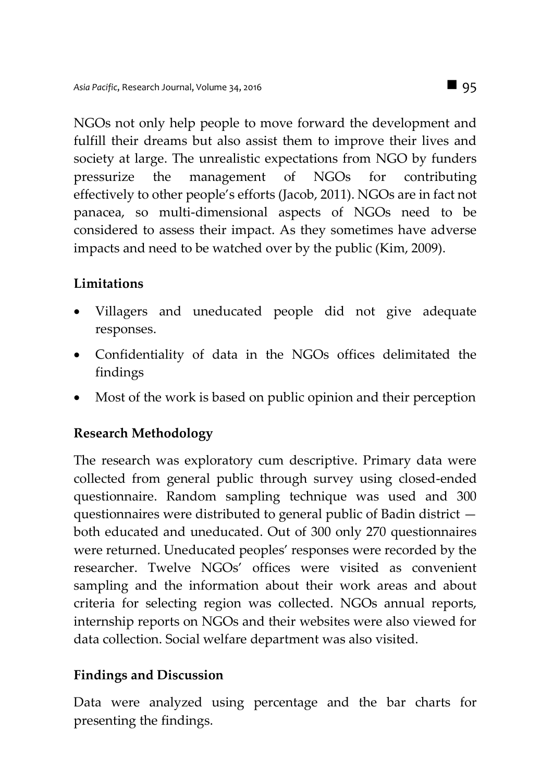NGOs not only help people to move forward the development and fulfill their dreams but also assist them to improve their lives and society at large. The unrealistic expectations from NGO by funders pressurize the management of NGOs for contributing effectively to other people's efforts (Jacob, 2011). NGOs are in fact not panacea, so multi-dimensional aspects of NGOs need to be considered to assess their impact. As they sometimes have adverse impacts and need to be watched over by the public (Kim, 2009).

## **Limitations**

- Villagers and uneducated people did not give adequate responses.
- Confidentiality of data in the NGOs offices delimitated the findings
- Most of the work is based on public opinion and their perception

## **Research Methodology**

The research was exploratory cum descriptive. Primary data were collected from general public through survey using closed-ended questionnaire. Random sampling technique was used and 300 questionnaires were distributed to general public of Badin district both educated and uneducated. Out of 300 only 270 questionnaires were returned. Uneducated peoples' responses were recorded by the researcher. Twelve NGOs' offices were visited as convenient sampling and the information about their work areas and about criteria for selecting region was collected. NGOs annual reports, internship reports on NGOs and their websites were also viewed for data collection. Social welfare department was also visited.

## **Findings and Discussion**

Data were analyzed using percentage and the bar charts for presenting the findings.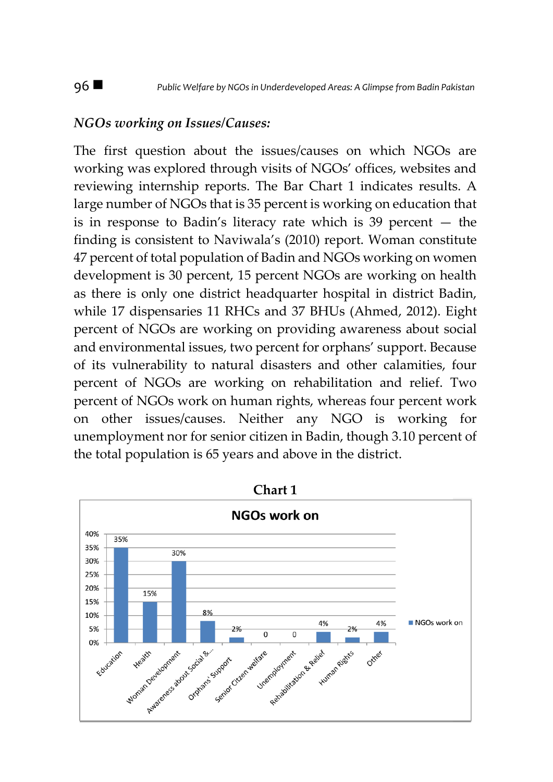#### *NGOs working on Issues/Causes:*

The first question about the issues/causes on which NGOs are working was explored through visits of NGOs' offices, websites and reviewing internship reports. The Bar Chart 1 indicates results. A large number of NGOs that is 35 percent is working on education that is in response to Badin's literacy rate which is 39 percent — the finding is consistent to Naviwala's (2010) report. Woman constitute 47 percent of total population of Badin and NGOs working on women development is 30 percent, 15 percent NGOs are working on health as there is only one district headquarter hospital in district Badin, while 17 dispensaries 11 RHCs and 37 BHUs (Ahmed, 2012). Eight percent of NGOs are working on providing awareness about social and environmental issues, two percent for orphans' support. Because of its vulnerability to natural disasters and other calamities, four percent of NGOs are working on rehabilitation and relief. Two percent of NGOs work on human rights, whereas four percent work on other issues/causes. Neither any NGO is working for unemployment nor for senior citizen in Badin, though 3.10 percent of the total population is 65 years and above in the district.

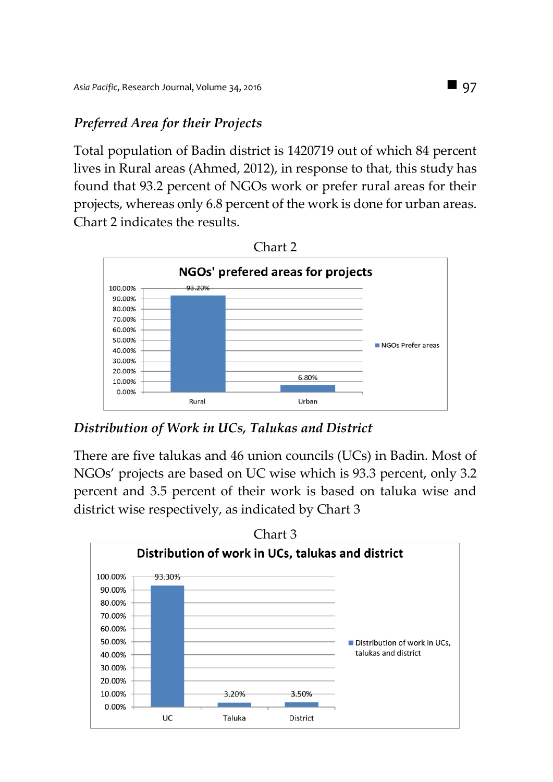## *Preferred Area for their Projects*

Total population of Badin district is 1420719 out of which 84 percent lives in Rural areas (Ahmed, 2012), in response to that, this study has found that 93.2 percent of NGOs work or prefer rural areas for their projects, whereas only 6.8 percent of the work is done for urban areas. Chart 2 indicates the results.



*Distribution of Work in UCs, Talukas and District*

There are five talukas and 46 union councils (UCs) in Badin. Most of NGOs' projects are based on UC wise which is 93.3 percent, only 3.2 percent and 3.5 percent of their work is based on taluka wise and district wise respectively, as indicated by Chart 3

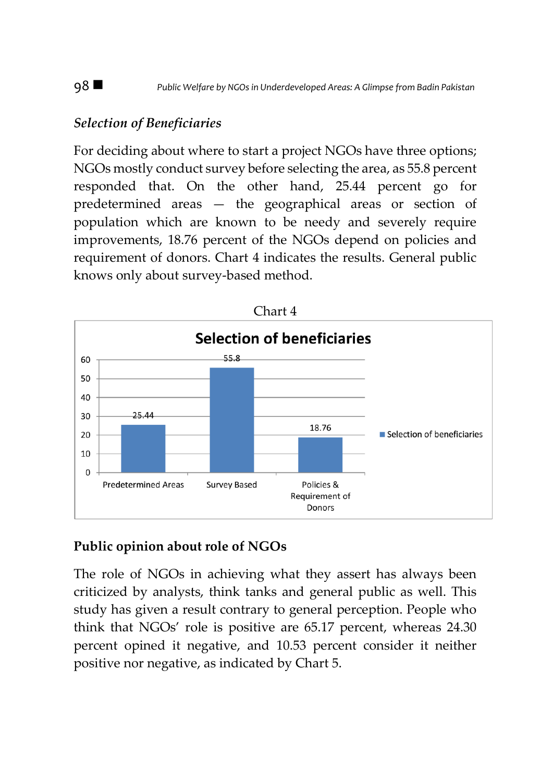## *Selection of Beneficiaries*

For deciding about where to start a project NGOs have three options; NGOs mostly conduct survey before selecting the area, as 55.8 percent responded that. On the other hand, 25.44 percent go for predetermined areas — the geographical areas or section of population which are known to be needy and severely require improvements, 18.76 percent of the NGOs depend on policies and requirement of donors. Chart 4 indicates the results. General public knows only about survey-based method.



### **Public opinion about role of NGOs**

The role of NGOs in achieving what they assert has always been criticized by analysts, think tanks and general public as well. This study has given a result contrary to general perception. People who think that NGOs' role is positive are 65.17 percent, whereas 24.30 percent opined it negative, and 10.53 percent consider it neither positive nor negative, as indicated by Chart 5.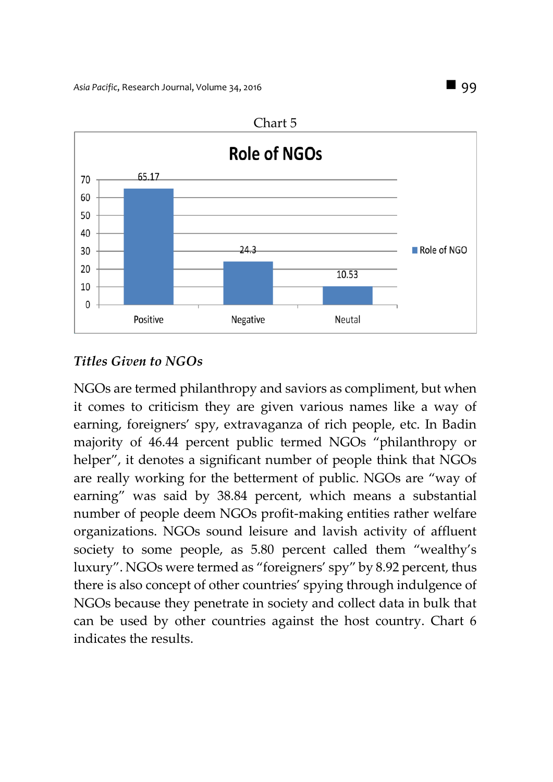

## *Titles Given to NGOs*

NGOs are termed philanthropy and saviors as compliment, but when it comes to criticism they are given various names like a way of earning, foreigners' spy, extravaganza of rich people, etc. In Badin majority of 46.44 percent public termed NGOs "philanthropy or helper", it denotes a significant number of people think that NGOs are really working for the betterment of public. NGOs are "way of earning" was said by 38.84 percent, which means a substantial number of people deem NGOs profit-making entities rather welfare organizations. NGOs sound leisure and lavish activity of affluent society to some people, as 5.80 percent called them "wealthy's luxury". NGOs were termed as "foreigners' spy" by 8.92 percent, thus there is also concept of other countries' spying through indulgence of NGOs because they penetrate in society and collect data in bulk that can be used by other countries against the host country. Chart 6 indicates the results.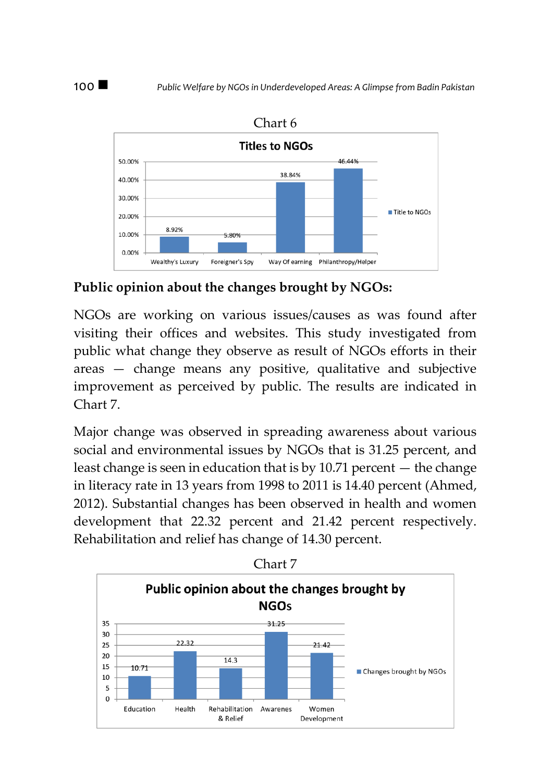

Chart 6

**Public opinion about the changes brought by NGOs:** 

NGOs are working on various issues/causes as was found after visiting their offices and websites. This study investigated from public what change they observe as result of NGOs efforts in their areas — change means any positive, qualitative and subjective improvement as perceived by public. The results are indicated in Chart 7.

Major change was observed in spreading awareness about various social and environmental issues by NGOs that is 31.25 percent, and least change is seen in education that is by 10.71 percent — the change in literacy rate in 13 years from 1998 to 2011 is 14.40 percent (Ahmed, 2012). Substantial changes has been observed in health and women development that 22.32 percent and 21.42 percent respectively. Rehabilitation and relief has change of 14.30 percent.

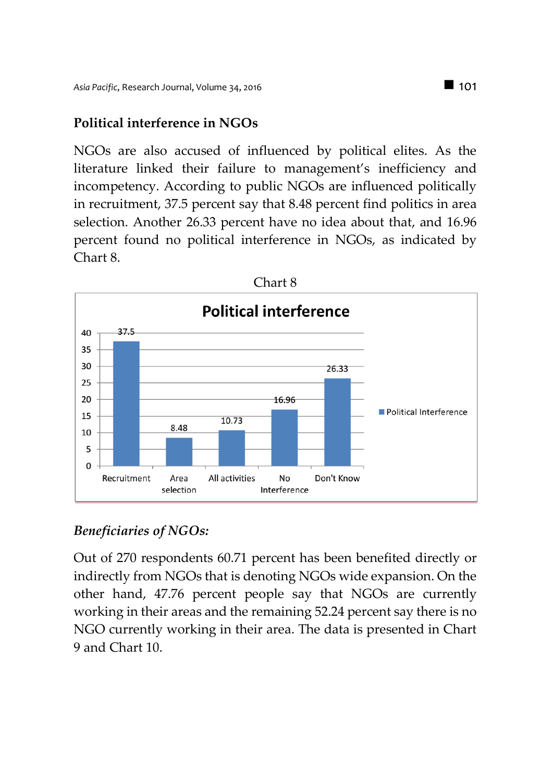### **Political interference in NGOs**

NGOs are also accused of influenced by political elites. As the literature linked their failure to management's inefficiency and incompetency. According to public NGOs are influenced politically in recruitment, 37.5 percent say that 8.48 percent find politics in area selection. Another 26.33 percent have no idea about that, and 16.96 percent found no political interference in NGOs, as indicated by Chart 8.



### *Beneficiaries of NGOs:*

Out of 270 respondents 60.71 percent has been benefited directly or indirectly from NGOs that is denoting NGOs wide expansion. On the other hand, 47.76 percent people say that NGOs are currently working in their areas and the remaining 52.24 percent say there is no NGO currently working in their area. The data is presented in Chart 9 and Chart 10.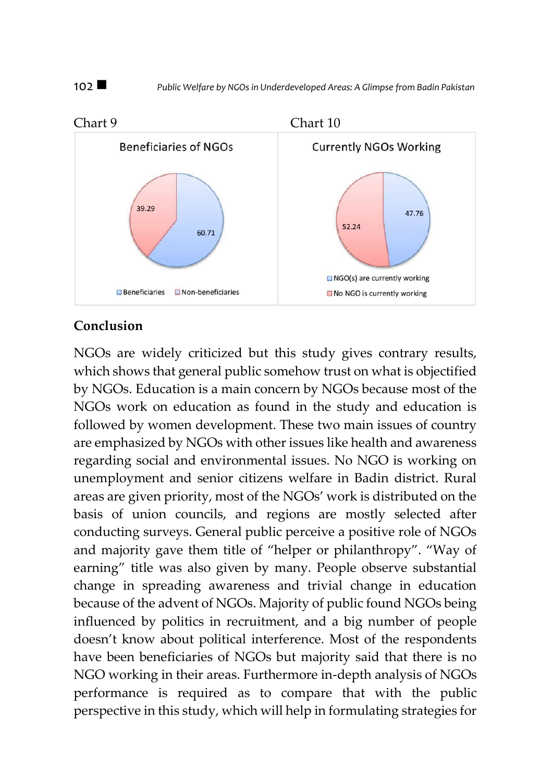

### **Conclusion**

NGOs are widely criticized but this study gives contrary results, which shows that general public somehow trust on what is objectified by NGOs. Education is a main concern by NGOs because most of the NGOs work on education as found in the study and education is followed by women development. These two main issues of country are emphasized by NGOs with other issues like health and awareness regarding social and environmental issues. No NGO is working on unemployment and senior citizens welfare in Badin district. Rural areas are given priority, most of the NGOs' work is distributed on the basis of union councils, and regions are mostly selected after conducting surveys. General public perceive a positive role of NGOs and majority gave them title of "helper or philanthropy". "Way of earning" title was also given by many. People observe substantial change in spreading awareness and trivial change in education because of the advent of NGOs. Majority of public found NGOs being influenced by politics in recruitment, and a big number of people doesn't know about political interference. Most of the respondents have been beneficiaries of NGOs but majority said that there is no NGO working in their areas. Furthermore in-depth analysis of NGOs performance is required as to compare that with the public perspective in this study, which will help in formulating strategies for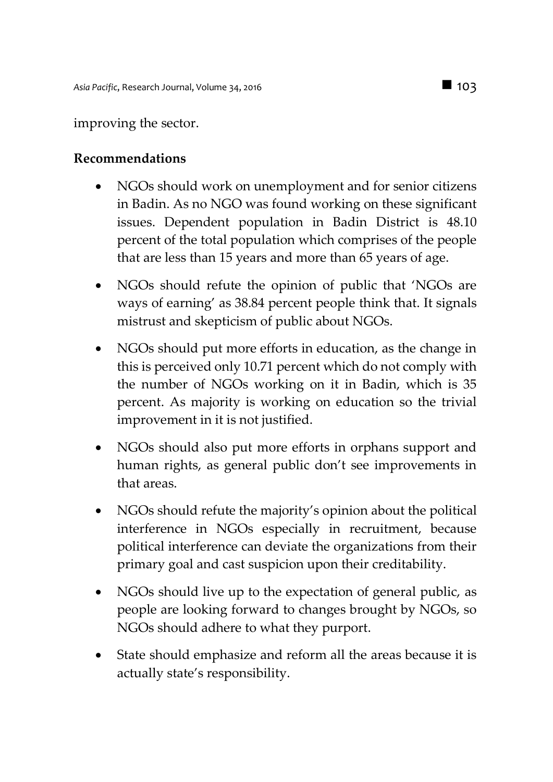#### improving the sector.

#### **Recommendations**

- NGOs should work on unemployment and for senior citizens in Badin. As no NGO was found working on these significant issues. Dependent population in Badin District is 48.10 percent of the total population which comprises of the people that are less than 15 years and more than 65 years of age.
- NGOs should refute the opinion of public that 'NGOs are ways of earning' as 38.84 percent people think that. It signals mistrust and skepticism of public about NGOs.
- NGOs should put more efforts in education, as the change in this is perceived only 10.71 percent which do not comply with the number of NGOs working on it in Badin, which is 35 percent. As majority is working on education so the trivial improvement in it is not justified.
- NGOs should also put more efforts in orphans support and human rights, as general public don't see improvements in that areas.
- NGOs should refute the majority's opinion about the political interference in NGOs especially in recruitment, because political interference can deviate the organizations from their primary goal and cast suspicion upon their creditability.
- NGOs should live up to the expectation of general public, as people are looking forward to changes brought by NGOs, so NGOs should adhere to what they purport.
- State should emphasize and reform all the areas because it is actually state's responsibility.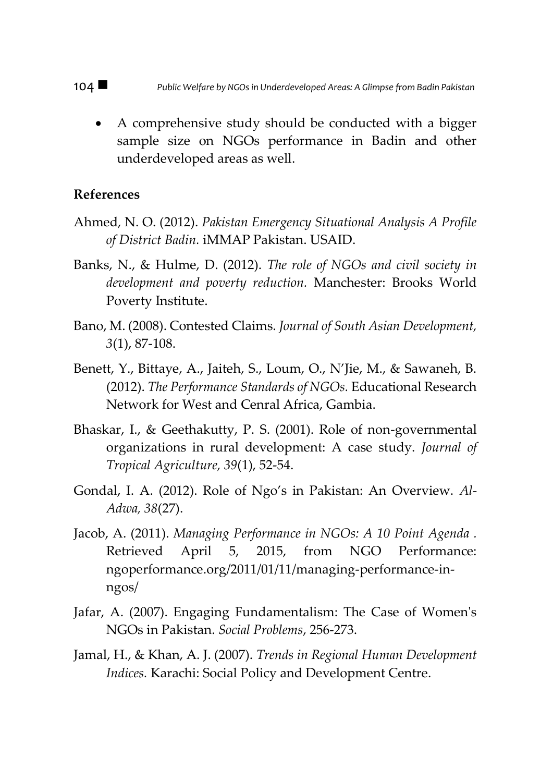A comprehensive study should be conducted with a bigger sample size on NGOs performance in Badin and other underdeveloped areas as well.

#### **References**

- Ahmed, N. O. (2012). *Pakistan Emergency Situational Analysis A Profile of District Badin.* iMMAP Pakistan. USAID.
- Banks, N., & Hulme, D. (2012). *The role of NGOs and civil society in development and poverty reduction.* Manchester: Brooks World Poverty Institute.
- Bano, M. (2008). Contested Claims. *Journal of South Asian Development, 3*(1), 87-108.
- Benett, Y., Bittaye, A., Jaiteh, S., Loum, O., N'Jie, M., & Sawaneh, B. (2012). *The Performance Standards of NGOs.* Educational Research Network for West and Cenral Africa, Gambia.
- Bhaskar, I., & Geethakutty, P. S. (2001). Role of non-governmental organizations in rural development: A case study. *Journal of Tropical Agriculture, 39*(1), 52-54.
- Gondal, I. A. (2012). Role of Ngo's in Pakistan: An Overview. *Al-Adwa, 38*(27).
- Jacob, A. (2011). *Managing Performance in NGOs: A 10 Point Agenda .* Retrieved April 5, 2015, from NGO Performance: ngoperformance.org/2011/01/11/managing-performance-inngos/
- Jafar, A. (2007). Engaging Fundamentalism: The Case of Women's NGOs in Pakistan. *Social Problems*, 256-273.
- Jamal, H., & Khan, A. J. (2007). *Trends in Regional Human Development Indices.* Karachi: Social Policy and Development Centre.